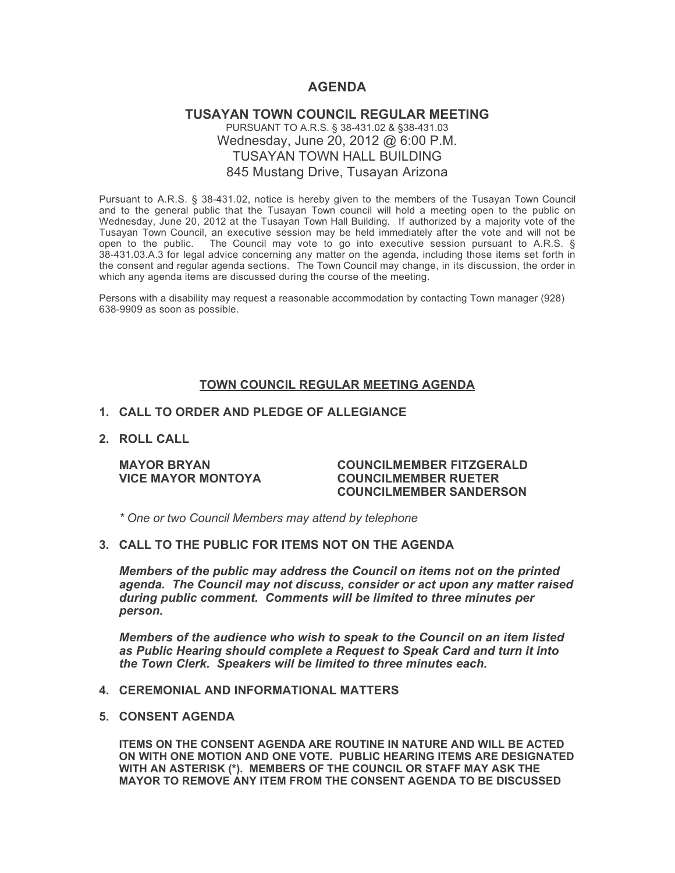# **AGENDA**

## **TUSAYAN TOWN COUNCIL REGULAR MEETING** PURSUANT TO A.R.S. § 38-431.02 & §38-431.03 Wednesday, June 20, 2012 @ 6:00 P.M. TUSAYAN TOWN HALL BUILDING 845 Mustang Drive, Tusayan Arizona

Pursuant to A.R.S. § 38-431.02, notice is hereby given to the members of the Tusayan Town Council and to the general public that the Tusayan Town council will hold a meeting open to the public on Wednesday, June 20, 2012 at the Tusayan Town Hall Building. If authorized by a majority vote of the Tusayan Town Council, an executive session may be held immediately after the vote and will not be open to the public. The Council may vote to go into executive session pursuant to A.R.S.  $\S$ 38-431.03.A.3 for legal advice concerning any matter on the agenda, including those items set forth in the consent and regular agenda sections. The Town Council may change, in its discussion, the order in which any agenda items are discussed during the course of the meeting.

Persons with a disability may request a reasonable accommodation by contacting Town manager (928) 638-9909 as soon as possible.

### **TOWN COUNCIL REGULAR MEETING AGENDA**

## **1. CALL TO ORDER AND PLEDGE OF ALLEGIANCE**

**2. ROLL CALL**

#### **MAYOR BRYAN COUNCILMEMBER FITZGERALD VICE MAYOR MONTOYA COUNCILMEMBER RUETER COUNCILMEMBER SANDERSON**

*\* One or two Council Members may attend by telephone*

### **3. CALL TO THE PUBLIC FOR ITEMS NOT ON THE AGENDA**

*Members of the public may address the Council* **o***n items not on the printed agenda. The Council may not discuss, consider or act upon any matter raised during public comment. Comments will be limited to three minutes per person.*

*Members of the audience who wish to speak to the Council on an item listed as Public Hearing should complete a Request to Speak Card and turn it into the Town Clerk. Speakers will be limited to three minutes each.*

#### **4. CEREMONIAL AND INFORMATIONAL MATTERS**

#### **5. CONSENT AGENDA**

**ITEMS ON THE CONSENT AGENDA ARE ROUTINE IN NATURE AND WILL BE ACTED ON WITH ONE MOTION AND ONE VOTE. PUBLIC HEARING ITEMS ARE DESIGNATED WITH AN ASTERISK (\*). MEMBERS OF THE COUNCIL OR STAFF MAY ASK THE MAYOR TO REMOVE ANY ITEM FROM THE CONSENT AGENDA TO BE DISCUSSED**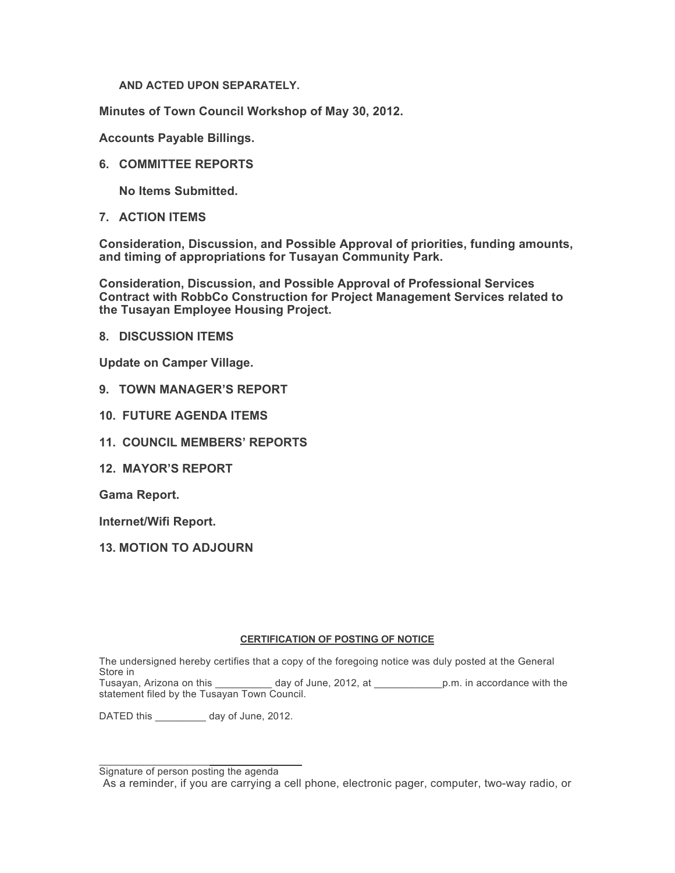**AND ACTED UPON SEPARATELY.**

**Minutes of Town Council Workshop of May 30, 2012.**

**Accounts Payable Billings.**

**6. COMMITTEE REPORTS**

**No Items Submitted.**

**7. ACTION ITEMS**

**Consideration, Discussion, and Possible Approval of priorities, funding amounts, and timing of appropriations for Tusayan Community Park.**

**Consideration, Discussion, and Possible Approval of Professional Services Contract with RobbCo Construction for Project Management Services related to the Tusayan Employee Housing Project.**

**8. DISCUSSION ITEMS**

**Update on Camper Village.**

- **9. TOWN MANAGER'S REPORT**
- **10. FUTURE AGENDA ITEMS**
- **11. COUNCIL MEMBERS' REPORTS**
- **12. MAYOR'S REPORT**

**Gama Report.**

**Internet/Wifi Report.**

**13. MOTION TO ADJOURN**

#### **CERTIFICATION OF POSTING OF NOTICE**

The undersigned hereby certifies that a copy of the foregoing notice was duly posted at the General Store in

Tusayan, Arizona on this day of June, 2012, at p.m. in accordance with the statement filed by the Tusayan Town Council.

DATED this \_\_\_\_\_\_\_\_\_ day of June, 2012.

 $\mathcal{L}_\text{max}$  , which is a set of the set of the set of the set of the set of the set of the set of the set of the set of the set of the set of the set of the set of the set of the set of the set of the set of the set of Signature of person posting the agenda

As a reminder, if you are carrying a cell phone, electronic pager, computer, two-way radio, or